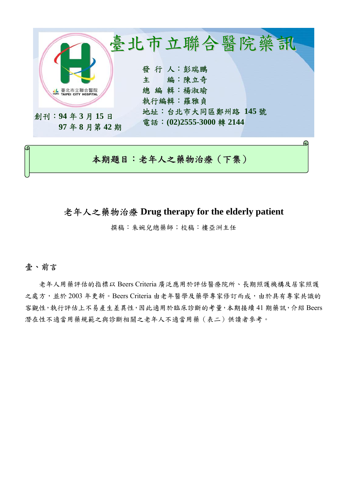

# 本期題目:老年人之藥物治療(下集)

# 老年人之藥物治療 **Drug therapy for the elderly patient**

撰稿:朱婉兒總藥師;校稿:樓亞洲主任

## 壹、前言

老年人用藥評估的指標以 Beers Criteria 廣泛應用於評估醫療院所、長期照護機構及居家照護 之處方,並於 2003年更新。Beers Criteria 由老年醫學及藥學專家修訂而成,由於具有專家共識的 客觀性,執行評估上不易產生差異性,因此適用於臨床診斷的考量,本期接續 41 期藥訊,介紹 Beers 潛在性不適當用藥規範之與診斷相關之老年人不適當用藥(表二)供讀者參考。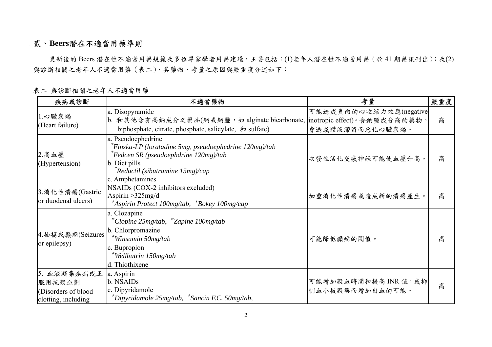# 貳、**Beers**潛在不適當用藥準則

更新後的 Beers 潛在性不適當用藥規範及多位專家學者用藥建議,主要包括:(1)老年人潛在性不適當用藥(於41期藥訊刊出);及(2) 與診斷相關之老年人不適當用藥(表二),其藥物、考量之原因與嚴重度分述如下:

| 疾病或診斷                                                                | 不適當藥物                                                                                                                                                                                                               | 考量                                        | 嚴重度 |
|----------------------------------------------------------------------|---------------------------------------------------------------------------------------------------------------------------------------------------------------------------------------------------------------------|-------------------------------------------|-----|
| 1.心臟衰竭<br>(Heart failure)                                            | a. Disopyramide<br>b. 和其他含有高鈉成分之藥品(鈉或鈉鹽, 如 alginate bicarbonate,  inotropic effect)。含鈉鹽成分高的藥物,<br>biphosphate, citrate, phosphate, salicylate, $\bar{\pi}$ sulfate)                                                 | 可能造成負向的心收縮力效應(negative<br>會造成體液滯留而惡化心臟衰竭。 | 高   |
| $2.\overline{$ 高血壓<br>(Hypertension)                                 | a. Pseudoephedrine<br>$\tilde{F}$ inska-LP (loratadine 5mg, pseudoephedrine 120mg)/tab<br>$\int$ Fedcen SR (pseudoephdrine 120mg)/tab<br>b. Diet pills<br>$\int$ Reductil (sibutramine 15mg)/cap<br>c. Amphetamines | 次發性活化交感神經可能使血壓升高。                         | 高   |
| 3. 消化性潰瘍(Gastric<br>or duodenal ulcers)                              | NSAIDs (COX-2 inhibitors excluded)<br>Aspirin $>325$ mg/d<br>*Aspirin Protect 100mg/tab, *Bokey 100mg/cap                                                                                                           | 加重消化性潰瘍或造成新的潰瘍產生。                         | 高   |
| 4. 抽搐或癲癇(Seizures<br>or epilepsy)                                    | a. Clozapine<br>*Clopine 25mg/tab, *Zapine 100mg/tab<br>b. Chlorpromazine<br>Winsumin 50mg/tab<br>c. Bupropion<br><sup>k</sup> Wellbutrin 150mg/tab<br>d. Thiothixene                                               | 可能降低癲癇的閥值。                                | 高   |
| 5. 血液凝集疾病或正<br>服用抗凝血劑<br>(Disorders of blood)<br>clotting, including | a. Aspirin<br>b. NSAID <sub>s</sub><br>c. Dipyridamole<br>*Dipyridamole 25mg/tab, *Sancin F.C. 50mg/tab,                                                                                                            | 可能增加凝血時間和提高 INR 值,或抑<br>制血小板凝集而增加出血的可能。   | 高   |

表二 與診斷相關之老年人不適當用藥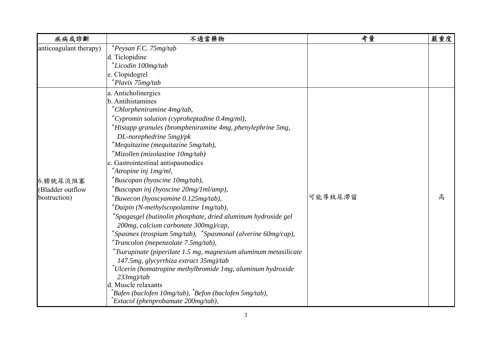| 疾病或診斷                  | 不適當藥物                                                               | 考量      | 嚴重度 |
|------------------------|---------------------------------------------------------------------|---------|-----|
| anticoagulant therapy) | $e^*Peysan$ F.C. 75mg/tab                                           |         |     |
|                        | d. Ticlopidine                                                      |         |     |
|                        | *Licodin 100mg/tab                                                  |         |     |
|                        | e. Clopidogrel                                                      |         |     |
|                        | *Plavix 75mg/tab                                                    |         |     |
|                        | a. Anticholinergics                                                 |         |     |
|                        | b. Antihistamines                                                   |         |     |
|                        | *Chlorpheniramine 4mg/tab,                                          |         |     |
|                        | *Cypromin solution (cyproheptadine $0.4$ mg/ml),                    |         |     |
|                        | *Histapp granules (brompheniramine 4mg, phenylephrine 5mg,          |         |     |
|                        | $DL$ -norephedrine $5mg$ )/pk                                       |         |     |
|                        | *Mequitazine (mequitazine 5mg/tab),                                 |         |     |
|                        | *Mizollen (mizolastine 10mg/tab)                                    |         |     |
|                        | c. Gastrointestinal antispasmodics                                  |         |     |
|                        | *Atropine inj 1mg/ml,                                               |         |     |
| 6.膀胱尿流阻塞               | *Buscopan (hyoscine 10mg/tab),                                      |         |     |
| (Bladder outflow       | *Buscopan inj (hyoscine 20mg/1ml/amp),                              |         |     |
| bostruction)           | *Buwecon (hyoscyamine 0.125mg/tab),                                 | 可能導致尿滯留 | 高   |
|                        | $k$ Daipin (N-methylscopolamine 1 mg/tab),                          |         |     |
|                        | *Spagasgel (butinolin phosphate, dried aluminum hydroxide gel       |         |     |
|                        | 200mg, calcium carbonate 300mg)/cap,                                |         |     |
|                        | *Spasmex (trospium 5mg/tab), *Spasmonal (alverine 60mg/cap),        |         |     |
|                        | *Trancolon (mepenzolate 7.5mg/tab),                                 |         |     |
|                        | $*$ Tsurupinate (piperilate 1.5 mg, magnesium aluminum metasilicate |         |     |
|                        | 147.5mg, glycyrrhiza extract 35mg)/tab                              |         |     |
|                        | $^*$ Ulcerin (homatropine methylbromide 1mg, aluminum hydroxide     |         |     |
|                        | $233mg$ /tab                                                        |         |     |
|                        | d. Muscle relaxants                                                 |         |     |
|                        | *Bafen (baclofen 10mg/tab), *Befon (baclofen 5mg/tab),              |         |     |
|                        | Extacol (phenprobamate 200mg/tab),                                  |         |     |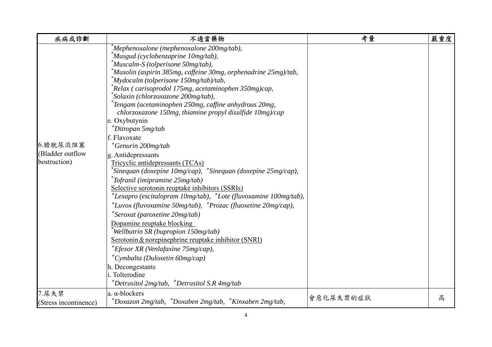| 疾病或診斷                                        | 不適當藥物                                                                                                                                                                                                                                                                                                                                                                                                                                                                                                                                                                                                                                                                                                                                                                                                                                                                                                                                                                                                                                                                                                                                                                                                                                                                                | 考量        | 嚴重度 |
|----------------------------------------------|--------------------------------------------------------------------------------------------------------------------------------------------------------------------------------------------------------------------------------------------------------------------------------------------------------------------------------------------------------------------------------------------------------------------------------------------------------------------------------------------------------------------------------------------------------------------------------------------------------------------------------------------------------------------------------------------------------------------------------------------------------------------------------------------------------------------------------------------------------------------------------------------------------------------------------------------------------------------------------------------------------------------------------------------------------------------------------------------------------------------------------------------------------------------------------------------------------------------------------------------------------------------------------------|-----------|-----|
| 6.膀胱尿流阻塞<br>(Bladder outflow<br>bostruction) | Mephenoxalone (mephenoxalone 200mg/tab),<br>*Musgud (cyclobenzaprine 10mg/tab),<br><i>Muscalm-S (tolperisone 50mg/tab),</i><br>*Musolin (aspirin 385mg, caffeine 30mg, orphenadrine 25mg)/tab,<br>$^*M$ ydocalm (tolperisone 150mg/tab)/tab,<br>*Relax (carisoprodol 175mg, acetaminophen 350mg)cap,<br>Solaxin (chlorzoxazone 200mg/tab),<br><sup>*</sup> Tengam (acetaminophen 250mg, caffine anhydrous 20mg,<br>chlorzoxazone 150mg, thiamine propyl disulfide 10mg)/cap<br>e. Oxybutynin<br>*Ditropan 5mg/tab<br>f. Flavoxate<br>*Genurin 200mg/tab<br>g. Antidepressants<br>Tricyclic antidepressants (TCAs)<br>$\delta$ Sinequan (doxepine 10mg/cap), $\delta$ Sinequan (doxepine 25mg/cap),<br><sup>*</sup> Tofranil (imipramine 25mg/tab)<br>Selective serotonin reuptake inhibitors (SSRIs)<br>$*$ Lexapro (escitalopram 10mg/tab), $*$ Lote (fluvoxamine 100mg/tab),<br>$*Luvox$ (fluvoxamine 50mg/tab), $*Prozac$ (fluoxetine 20mg/cap),<br>*Seroxat (paroxetine 20mg/tab)<br>Dopamine reuptake blocking<br>Wellbutrin SR (bupropion 150mg/tab)<br>Serotonin & norepinephrine reuptake inhibitor (SNRI)<br>*Efexor XR (Venlafaxine 75mg/cap),<br>$^*$ Cymbalta (Duloxetin 60mg/cap)<br>h. Decongestants<br>i. Tolterodine<br>*Detrusitol 2mg/tab, *Detrusitol S.R 4mg/tab |           |     |
| 7.尿失禁<br>(Stress incontinence)               | a. α-blockers<br>*Doxazon 2mg/tab, *Doxaben 2mg/tab, *Kinxaben 2mg/tab,                                                                                                                                                                                                                                                                                                                                                                                                                                                                                                                                                                                                                                                                                                                                                                                                                                                                                                                                                                                                                                                                                                                                                                                                              | 會惡化尿失禁的症狀 | 高   |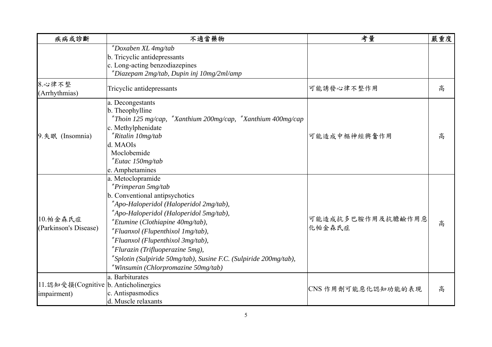| 疾病或診斷                                 | 不適當藥物                                                             | 考量                          | 嚴重度 |
|---------------------------------------|-------------------------------------------------------------------|-----------------------------|-----|
|                                       | *Doxaben XL 4mg/tab<br>b. Tricyclic antidepressants               |                             |     |
|                                       | c. Long-acting benzodiazepines                                    |                             |     |
|                                       | *Diazepam 2mg/tab, Dupin inj 10mg/2ml/amp                         |                             |     |
| 8.心律不整<br>(Arrhythmias)               | Tricyclic antidepressants                                         | 可能誘發心律不整作用                  | 高   |
|                                       | a. Decongestants<br>b. Theophylline                               |                             | 高   |
|                                       | *Thoin 125 mg/cap, *Xanthium 200mg/cap, *Xanthium 400mg/cap       |                             |     |
|                                       | c. Methylphenidate                                                |                             |     |
| 9. 失眠 (Insomnia)                      | *Ritalin 10mg/tab                                                 | 可能造成中樞神經興奮作用                |     |
|                                       | d. MAOIs                                                          |                             |     |
|                                       | Moclobemide<br>$Eutac$ 150mg/tab                                  |                             |     |
|                                       | e. Amphetamines                                                   |                             |     |
|                                       | a. Metoclopramide                                                 |                             |     |
|                                       | $*Primperan 5mg/tab$                                              | 可能造成抗多巴胺作用及抗膽鹼作用惡<br>化帕金森氏症 |     |
|                                       | b. Conventional antipsychotics                                    |                             |     |
|                                       | *Apo-Haloperidol (Haloperidol 2mg/tab),                           |                             | 高   |
|                                       | *Apo-Haloperidol (Haloperidol 5mg/tab),                           |                             |     |
| 10.帕金森氏症                              | *Etumine (Clothiapine 40mg/tab),                                  |                             |     |
| (Parkinson's Disease)                 | *Fluanxol (Flupenthixol 1mg/tab),                                 |                             |     |
|                                       | *Fluanxol (Flupenthixol 3mg/tab),                                 |                             |     |
|                                       | *Flurazin (Trifluoperazine 5mg),                                  |                             |     |
|                                       | *Splotin (Sulpiride 50mg/tab), Susine F.C. (Sulpiride 200mg/tab), |                             |     |
|                                       | *Winsumin (Chlorpromazine 50mg/tab)                               |                             |     |
|                                       | a. Barbiturates                                                   |                             |     |
| 11.認知受損(Cognitive b. Anticholinergics |                                                                   | CNS作用劑可能惡化認知功能的表現           | 高   |
| impairment)                           | c. Antispasmodics                                                 |                             |     |
|                                       | d. Muscle relaxants                                               |                             |     |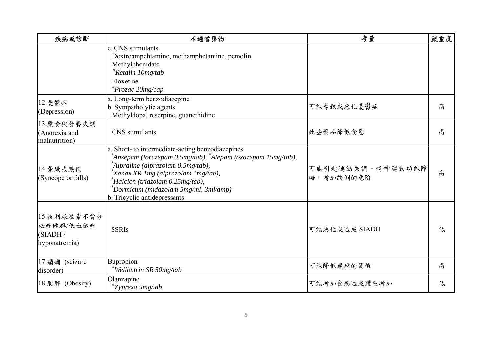| 疾病或診斷                                                  | 不適當藥物                                                                                                                                                                                                                                                                                                                 | 考量                            | 嚴重度 |
|--------------------------------------------------------|-----------------------------------------------------------------------------------------------------------------------------------------------------------------------------------------------------------------------------------------------------------------------------------------------------------------------|-------------------------------|-----|
|                                                        | e. CNS stimulants<br>Dextroampehtamine, methamphetamine, pemolin<br>Methylphenidate<br>*Retalin 10mg/tab<br>Floxetine<br>*Prozac 20mg/cap                                                                                                                                                                             |                               |     |
| 12. 憂鬱症<br>(Depression)                                | a. Long-term benzodiazepine<br>b. Sympatholytic agents<br>Methyldopa, reserpine, guanethidine                                                                                                                                                                                                                         | 可能導致或惡化憂鬱症                    | 高   |
| 13.厭食與營養失調<br>(Anorexia and<br>malnutrition)           | CNS stimulants                                                                                                                                                                                                                                                                                                        | 此些藥品降低食慾                      | 高   |
| 14.暈厥或跌倒<br>(Syncope or falls)                         | a. Short- to intermediate-acting benzodiazepines<br>*Anzepam (lorazepam 0.5mg/tab), *Alepam (oxazepam 15mg/tab),<br>*Alpraline (alprazolam 0.5mg/tab),<br><sup>*</sup> Xanax XR 1mg (alprazolam 1mg/tab),<br>Halcion (triazolam 0.25mg/tab),<br>*Dormicum (midazolam 5mg/ml, 3ml/amp)<br>b. Tricyclic antidepressants | 可能引起運動失調、精神運動功能障<br>礙,增加跌倒的危險 | 高   |
| 15. 抗利尿激素不當分<br>泌症候群/低血鈉症<br>(SIADH /<br>hyponatremia) | <b>SSRIs</b>                                                                                                                                                                                                                                                                                                          | 可能惡化或造成 SIADH                 | 低   |
| 17. 癲癇 (seizure<br>disorder)                           | Bupropion<br>*Wellbutrin SR 50mg/tab                                                                                                                                                                                                                                                                                  | 可能降低癲癇的閾值                     | 高   |
| 18. 肥胖 (Obesity)                                       | Olanzapine<br>*Zyprexa 5mg/tab                                                                                                                                                                                                                                                                                        | 可能增加食慾造成體重增加                  | 低   |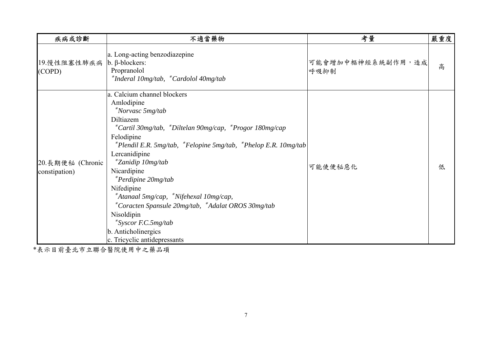| 疾病或診斷                              | 不適當藥物                                                                                                                                                                                                                                                                                                                                                                                                                                                                                                                    | 考量                        | 嚴重度 |
|------------------------------------|--------------------------------------------------------------------------------------------------------------------------------------------------------------------------------------------------------------------------------------------------------------------------------------------------------------------------------------------------------------------------------------------------------------------------------------------------------------------------------------------------------------------------|---------------------------|-----|
| 19.慢性阻塞性肺疾病<br>(COPD)              | a. Long-acting benzodiazepine<br>$\mathbf b$ . $\beta$ -blockers:<br>Propranolol<br>*Inderal 10mg/tab, *Cardolol 40mg/tab                                                                                                                                                                                                                                                                                                                                                                                                | 可能會增加中樞神經系統副作用,造成<br>呼吸抑制 | 高   |
| 20. 長期便秘 (Chronic<br>constipation) | a. Calcium channel blockers<br>Amlodipine<br>*Norvasc 5mg/tab<br>Diltiazem<br>*Cartil 30mg/tab, *Diltelan 90mg/cap, *Progor 180mg/cap<br>Felodipine<br>$*$ Plendil E.R. 5mg/tab, $*$ Felopine 5mg/tab, $*$ Phelop E.R. 10mg/tab<br>Lercanidipine<br>*Zanidip 10mg/tab<br>Nicardipine<br>*Perdipine 20mg/tab<br>Nifedipine<br>*Atanaal 5mg/cap, *Nifehexal 10mg/cap,<br>*Coracten Spansule 20mg/tab, *Adalat OROS 30mg/tab<br>Nisoldipin<br>$*$ Syscor F.C.5mg/tab<br>b. Anticholinergics<br>c. Tricyclic antidepressants | 可能使便秘惡化                   | 低   |

\*表示目前臺北市立聯合醫院使用中之藥品項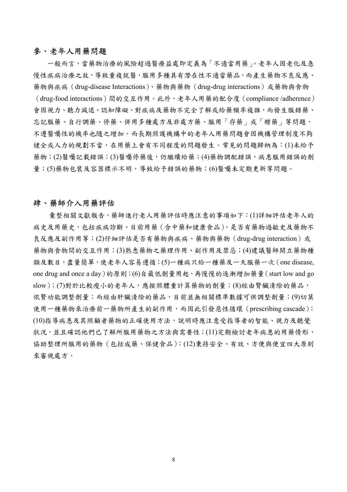#### 參、老年人用藥問題

一般而言,當藥物治療的風險超過醫療益處即定義為「不適當用藥」。老年人因老化及急 慢性疾病治療之故,導致重複就醫,服用多種具有潛在性不適當藥品,而產生藥物不良反應、 藥物與疾病(drug-disease Interactions)、藥物與藥物(drug-drug interactions)或藥物與食物 (drug-food interactions)間的交互作用。此外,老年人用藥的配合度(compliance /adherence) 會因視力、聽力減退、認知障礙、對疾病及藥物不完全了解或給藥頻率複雜,而發生服錯藥、 忘記服藥、自行調藥、停藥、併用多種處方及非處方藥、服用「存藥」或「贈藥」等問題, 不遵醫囑性的機率也隨之增加。而長期照護機構中的老年人用藥問題會因機構管理制度不夠 健全或人力的規劃不當,在用藥上會有不同程度的問題發生。常見的問題歸納為:(1)未給予 藥物;(2)醫囑記載錯誤;(3)醫囑停藥後,仍繼續給藥;(4)藥物調配錯誤,病患服用錯誤的劑 量;(5)藥物包裝及容器標示不明,導致給予錯誤的藥物;(6)醫囑未定期更新等問題。

#### 肆、藥師介入用藥評估

彙整相關文獻報告,藥師進行老人用藥評估時應注意的事項如下:(1)詳細評估老年人的 病史及用藥史,包括疾病診斷、目前用藥(含中藥和健康食品)、是否有藥物過敏史及藥物不 良反應及副作用等;(2)仔細評估是否有藥物與疾病、藥物與藥物(drug-drug interaction)或 藥物與食物間的交互作用;(3)熟悉藥物之藥理作用、副作用及禁忌;(4)建議醫師開立藥物種 類及數目,盡量簡單,使老年人容易遵循;(5)一種病只給一種藥及一天服藥一次(one disease, one drug and once a day)的原則;(6)自最低劑量用起,再慢慢的逐漸增加藥量(start low and go slow);(7)對於比較瘦小的老年人,應按照體重計算藥物的劑量;(8)經由腎臟清除的藥品, 依腎功能調整劑量;而經由肝臟清除的藥品,目前並無相關標準數據可供調整劑量;(9)切莫 使用一種藥物來治療前一藥物所產生的副作用,而因此引發惡性循環 (prescribing cascade); (10)指導病患及其照顧者藥物的正確使用方法,說明時應注意受指導者的智能、視力及聽覺 狀況,並且確認他們已了解所服用藥物之方法與需要性;(11)定期檢討老年病患的用藥情形, 協助整理所服用的藥物(包括成藥、保健食品);(12)秉持安全、有效、方便與便宜四大原則 來審視處方。

8